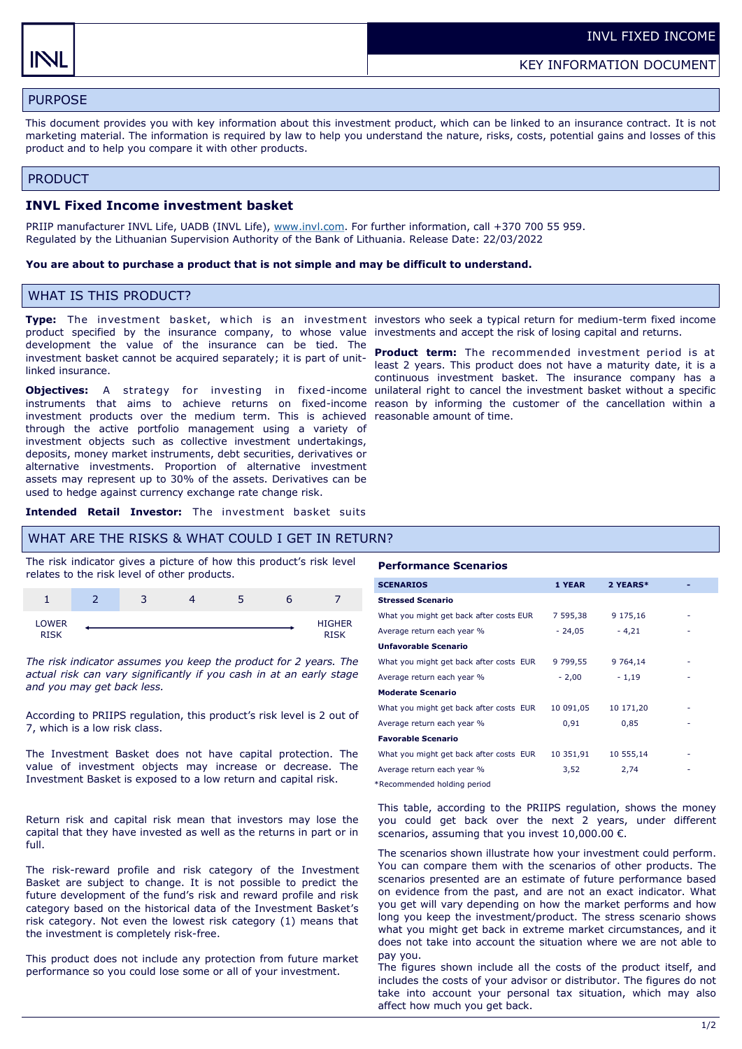# PURPOSE

This document provides you with key information about this investment product, which can be linked to an insurance contract. It is not marketing material. The information is required by law to help you understand the nature, risks, costs, potential gains and losses of this product and to help you compare it with other products.

#### PRODUCT

### **INVL Fixed Income investment basket**

PRIIP manufacturer INVL Life, UADB (INVL Life), [www.invl.com.](http://www.invl.com) For further information, call +370 700 55 959. Regulated by the Lithuanian Supervision Authority of the Bank of Lithuania. Release Date: 22/03/2022

#### **You are about to purchase a product that is not simple and may be difficult to understand.**

# WHAT IS THIS PRODUCT?

product specified by the insurance company, to whose value investments and accept the risk of losing capital and returns. development the value of the insurance can be tied. The investment basket cannot be acquired separately; it is part of unitlinked insurance.

**Objectives:** A strategy for investing in fixed-income instruments that aims to achieve returns on fixed-income reason by informing the customer of the cancellation within a investment products over the medium term. This is achieved reasonable amount of time. through the active portfolio management using a variety of investment objects such as collective investment undertakings, deposits, money market instruments, debt securities, derivatives or alternative investments. Proportion of alternative investment assets may represent up to 30% of the assets. Derivatives can be used to hedge against currency exchange rate change risk.

**Type:** The investment basket, which is an investment investors who seek a typical return for medium-term fixed income

**Product term:** The recommended investment period is at least 2 years. This product does not have a maturity date, it is a continuous investment basket. The insurance company has a unilateral right to cancel the investment basket without a specific

**Intended Retail Investor:** The investment basket suits

#### WHAT ARE THE RISKS & WHAT COULD I GET IN RETURN?

The risk indicator gives a picture of how this product's risk level relates to the risk level of other products.

|                      | っ<br>ت | _<br>state. |                       |
|----------------------|--------|-------------|-----------------------|
| LOWER<br><b>RTSK</b> |        |             | <b>HIGHER</b><br>DTCV |

*The risk indicator assumes you keep the product for 2 years. The actual risk can vary significantly if you cash in at an early stage and you may get back less.* 

According to PRIIPS regulation, this product's risk level is 2 out of 7, which is a low risk class.

The Investment Basket does not have capital protection. The value of investment objects may increase or decrease. The Investment Basket is exposed to a low return and capital risk.

Return risk and capital risk mean that investors may lose the capital that they have invested as well as the returns in part or in full.

The risk-reward profile and risk category of the Investment Basket are subject to change. It is not possible to predict the future development of the fund's risk and reward profile and risk category based on the historical data of the Investment Basket's risk category. Not even the lowest risk category (1) means that the investment is completely risk-free.

This product does not include any protection from future market performance so you could lose some or all of your investment.

#### **Performance Scenarios**

| <b>SCENARIOS</b>                        | 1 YEAR    | 2 YEARS*  |  |
|-----------------------------------------|-----------|-----------|--|
| <b>Stressed Scenario</b>                |           |           |  |
| What you might get back after costs EUR | 7 595,38  | 9 175,16  |  |
| Average return each year %              | $-24,05$  | $-4,21$   |  |
| <b>Unfavorable Scenario</b>             |           |           |  |
| What you might get back after costs EUR | 9 799,55  | 9 7 64.14 |  |
| Average return each year %              | $-2,00$   | $-1,19$   |  |
| <b>Moderate Scenario</b>                |           |           |  |
| What you might get back after costs EUR | 10 091,05 | 10 171,20 |  |
| Average return each year %              | 0,91      | 0,85      |  |
| <b>Favorable Scenario</b>               |           |           |  |
| What you might get back after costs EUR | 10 351,91 | 10 555,14 |  |
| Average return each year %              | 3,52      | 2,74      |  |
|                                         |           |           |  |

\*Recommended holding period

This table, according to the PRIIPS regulation, shows the money you could get back over the next 2 years, under different scenarios, assuming that you invest  $10,000.00 \in$ .

The scenarios shown illustrate how your investment could perform. You can compare them with the scenarios of other products. The scenarios presented are an estimate of future performance based on evidence from the past, and are not an exact indicator. What you get will vary depending on how the market performs and how long you keep the investment/product. The stress scenario shows what you might get back in extreme market circumstances, and it does not take into account the situation where we are not able to pay you.

The figures shown include all the costs of the product itself, and includes the costs of your advisor or distributor. The figures do not take into account your personal tax situation, which may also affect how much you get back.